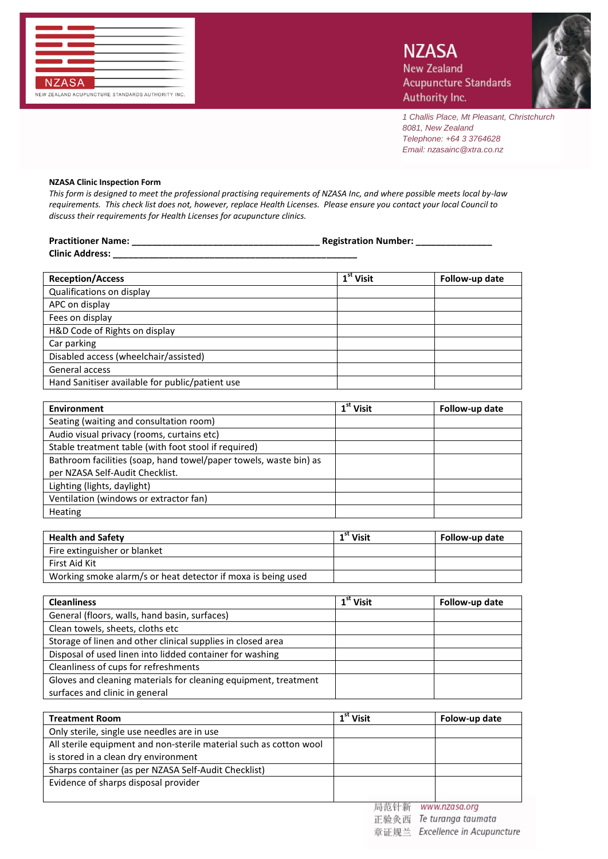

*1 Challis Place, Mt Pleasant, Christchurch 8081, New Zealand Telephone: +64 3 3764628 Email: nzasainc@xtra.co.nz*

## **NZASA Clinic Inspection Form**

*This form is designed to meet the professional practising requirements of NZASA Inc, and where possible meets local by-law requirements. This check list does not, however, replace Health Licenses. Please ensure you contact your local Council to discuss their requirements for Health Licenses for acupuncture clinics.*

| Practitioner Name: Name: Name and Name and Namber: Namber: Namber: Namber: Namber: Namber: Namber: Namber: Nam |                       |                |
|----------------------------------------------------------------------------------------------------------------|-----------------------|----------------|
| <b>Clinic Address:</b>                                                                                         |                       |                |
| <b>Reception/Access</b>                                                                                        | $1st$ Visit           | Follow-up date |
| Qualifications on display                                                                                      |                       |                |
| APC on display                                                                                                 |                       |                |
| Fees on display                                                                                                |                       |                |
| H&D Code of Rights on display                                                                                  |                       |                |
| Car parking                                                                                                    |                       |                |
| Disabled access (wheelchair/assisted)                                                                          |                       |                |
| General access                                                                                                 |                       |                |
| Hand Sanitiser available for public/patient use                                                                |                       |                |
|                                                                                                                |                       |                |
| <b>Environment</b>                                                                                             | 1 <sup>st</sup> Visit | Follow-up date |
| Seating (waiting and consultation room)                                                                        |                       |                |
| Audio visual privacy (rooms, curtains etc)                                                                     |                       |                |
| Stable treatment table (with foot stool if required)                                                           |                       |                |
|                                                                                                                |                       |                |

| Bathroom facilities (soap, hand towel/paper towels, waste bin) as |  |
|-------------------------------------------------------------------|--|
| per NZASA Self-Audit Checklist.                                   |  |
| Lighting (lights, daylight)                                       |  |
| Ventilation (windows or extractor fan)                            |  |
| Heating                                                           |  |

| <b>Health and Safety</b>                                     | $1st$ Visit | Follow-up date |
|--------------------------------------------------------------|-------------|----------------|
| Fire extinguisher or blanket                                 |             |                |
| First Aid Kit                                                |             |                |
| Working smoke alarm/s or heat detector if moxa is being used |             |                |

| <b>Cleanliness</b>                                              | $1st$ Visit | Follow-up date |
|-----------------------------------------------------------------|-------------|----------------|
| General (floors, walls, hand basin, surfaces)                   |             |                |
| Clean towels, sheets, cloths etc                                |             |                |
| Storage of linen and other clinical supplies in closed area     |             |                |
| Disposal of used linen into lidded container for washing        |             |                |
| Cleanliness of cups for refreshments                            |             |                |
| Gloves and cleaning materials for cleaning equipment, treatment |             |                |
| surfaces and clinic in general                                  |             |                |

| <b>Treatment Room</b>                                              | L <sup>st</sup> Visit | Folow-up date |
|--------------------------------------------------------------------|-----------------------|---------------|
| Only sterile, single use needles are in use                        |                       |               |
| All sterile equipment and non-sterile material such as cotton wool |                       |               |
| is stored in a clean dry environment                               |                       |               |
| Sharps container (as per NZASA Self-Audit Checklist)               |                       |               |
| Evidence of sharps disposal provider                               |                       |               |
|                                                                    |                       |               |